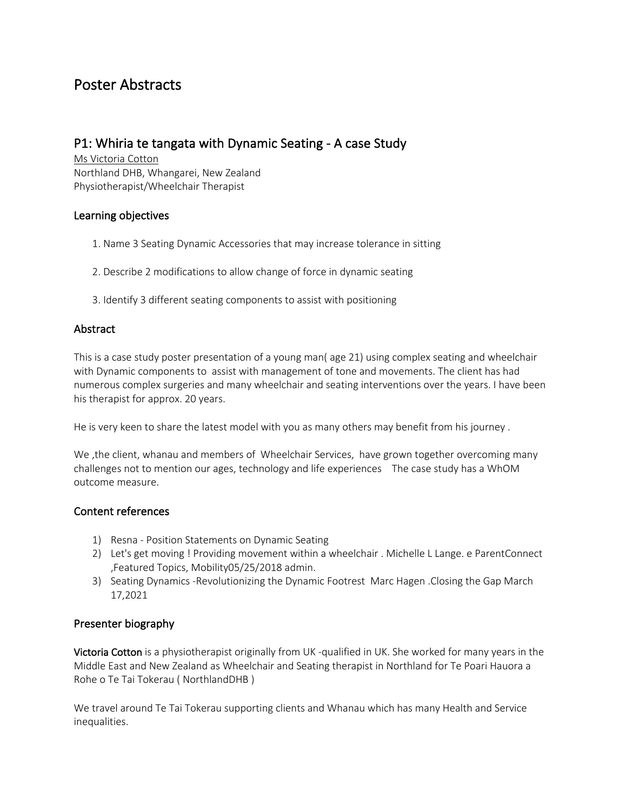# Poster Abstracts

# P1: Whiria te tangata with Dynamic Seating - A case Study

Ms Victoria Cotton Northland DHB, Whangarei, New Zealand Physiotherapist/Wheelchair Therapist

### Learning objectives

- 1. Name 3 Seating Dynamic Accessories that may increase tolerance in sitting
- 2. Describe 2 modifications to allow change of force in dynamic seating
- 3. Identify 3 different seating components to assist with positioning

### **Abstract**

This is a case study poster presentation of a young man( age 21) using complex seating and wheelchair with Dynamic components to assist with management of tone and movements. The client has had numerous complex surgeries and many wheelchair and seating interventions over the years. I have been his therapist for approx. 20 years.

He is very keen to share the latest model with you as many others may benefit from his journey .

We ,the client, whanau and members of Wheelchair Services, have grown together overcoming many challenges not to mention our ages, technology and life experiences The case study has a WhOM outcome measure.

### Content references

- 1) Resna Position Statements on Dynamic Seating
- 2) Let's get moving ! Providing movement within a wheelchair . Michelle L Lange. e ParentConnect ,Featured Topics, Mobility05/25/2018 admin.
- 3) Seating Dynamics -Revolutionizing the Dynamic Footrest Marc Hagen .Closing the Gap March 17,2021

### Presenter biography

Victoria Cotton is a physiotherapist originally from UK -qualified in UK. She worked for many years in the Middle East and New Zealand as Wheelchair and Seating therapist in Northland for Te Poari Hauora a Rohe o Te Tai Tokerau ( NorthlandDHB )

We travel around Te Tai Tokerau supporting clients and Whanau which has many Health and Service inequalities.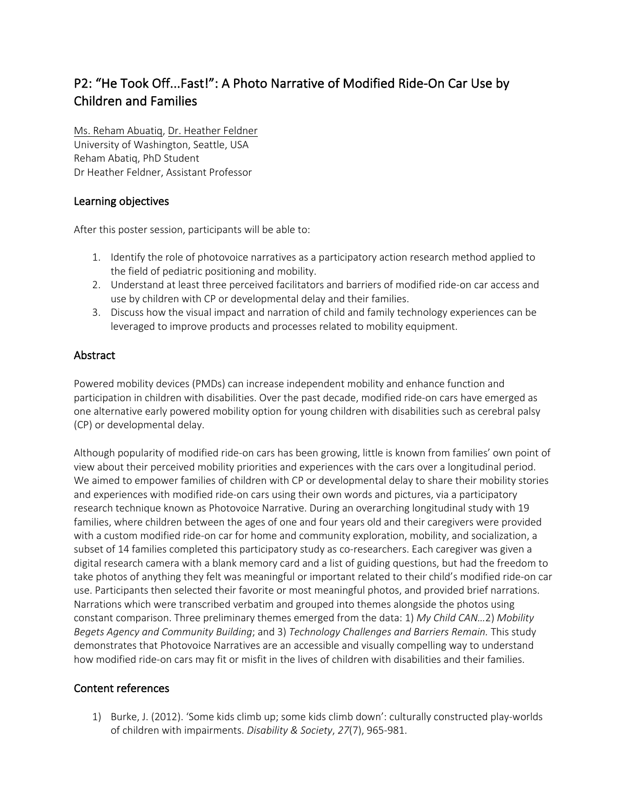# P2: "He Took Off...Fast!": A Photo Narrative of Modified Ride-On Car Use by Children and Families

Ms. Reham Abuatiq, Dr. Heather Feldner University of Washington, Seattle, USA Reham Abatiq, PhD Student Dr Heather Feldner, Assistant Professor

## Learning objectives

After this poster session, participants will be able to:

- 1. Identify the role of photovoice narratives as a participatory action research method applied to the field of pediatric positioning and mobility.
- 2. Understand at least three perceived facilitators and barriers of modified ride-on car access and use by children with CP or developmental delay and their families.
- 3. Discuss how the visual impact and narration of child and family technology experiences can be leveraged to improve products and processes related to mobility equipment.

# Abstract

Powered mobility devices (PMDs) can increase independent mobility and enhance function and participation in children with disabilities. Over the past decade, modified ride-on cars have emerged as one alternative early powered mobility option for young children with disabilities such as cerebral palsy (CP) or developmental delay.

Although popularity of modified ride-on cars has been growing, little is known from families' own point of view about their perceived mobility priorities and experiences with the cars over a longitudinal period. We aimed to empower families of children with CP or developmental delay to share their mobility stories and experiences with modified ride-on cars using their own words and pictures, via a participatory research technique known as Photovoice Narrative. During an overarching longitudinal study with 19 families, where children between the ages of one and four years old and their caregivers were provided with a custom modified ride-on car for home and community exploration, mobility, and socialization, a subset of 14 families completed this participatory study as co-researchers. Each caregiver was given a digital research camera with a blank memory card and a list of guiding questions, but had the freedom to take photos of anything they felt was meaningful or important related to their child's modified ride-on car use. Participants then selected their favorite or most meaningful photos, and provided brief narrations. Narrations which were transcribed verbatim and grouped into themes alongside the photos using constant comparison. Three preliminary themes emerged from the data: 1) *My Child CAN…*2) *Mobility Begets Agency and Community Building*; and 3) *Technology Challenges and Barriers Remain.* This study demonstrates that Photovoice Narratives are an accessible and visually compelling way to understand how modified ride-on cars may fit or misfit in the lives of children with disabilities and their families.

# Content references

1) Burke, J. (2012). 'Some kids climb up; some kids climb down': culturally constructed play-worlds of children with impairments. *Disability & Society*, *27*(7), 965-981.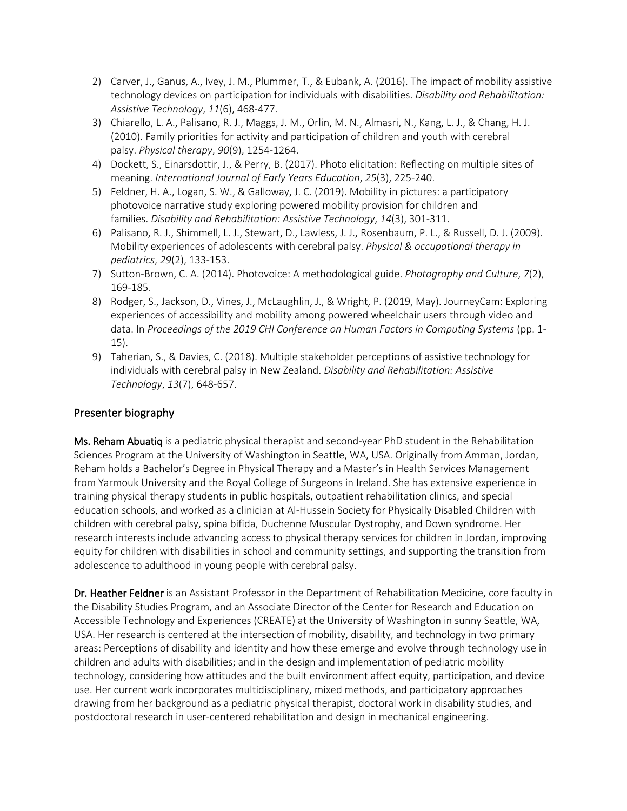- 2) Carver, J., Ganus, A., Ivey, J. M., Plummer, T., & Eubank, A. (2016). The impact of mobility assistive technology devices on participation for individuals with disabilities. *Disability and Rehabilitation: Assistive Technology*, *11*(6), 468-477.
- 3) Chiarello, L. A., Palisano, R. J., Maggs, J. M., Orlin, M. N., Almasri, N., Kang, L. J., & Chang, H. J. (2010). Family priorities for activity and participation of children and youth with cerebral palsy. *Physical therapy*, *90*(9), 1254-1264.
- 4) Dockett, S., Einarsdottir, J., & Perry, B. (2017). Photo elicitation: Reflecting on multiple sites of meaning. *International Journal of Early Years Education*, *25*(3), 225-240.
- 5) Feldner, H. A., Logan, S. W., & Galloway, J. C. (2019). Mobility in pictures: a participatory photovoice narrative study exploring powered mobility provision for children and families. *Disability and Rehabilitation: Assistive Technology*, *14*(3), 301-311.
- 6) Palisano, R. J., Shimmell, L. J., Stewart, D., Lawless, J. J., Rosenbaum, P. L., & Russell, D. J. (2009). Mobility experiences of adolescents with cerebral palsy. *Physical & occupational therapy in pediatrics*, *29*(2), 133-153.
- 7) Sutton-Brown, C. A. (2014). Photovoice: A methodological guide. *Photography and Culture*, *7*(2), 169-185.
- 8) Rodger, S., Jackson, D., Vines, J., McLaughlin, J., & Wright, P. (2019, May). JourneyCam: Exploring experiences of accessibility and mobility among powered wheelchair users through video and data. In *Proceedings of the 2019 CHI Conference on Human Factors in Computing Systems* (pp. 1- 15).
- 9) Taherian, S., & Davies, C. (2018). Multiple stakeholder perceptions of assistive technology for individuals with cerebral palsy in New Zealand. *Disability and Rehabilitation: Assistive Technology*, *13*(7), 648-657.

Ms. Reham Abuatiq is a pediatric physical therapist and second-year PhD student in the Rehabilitation Sciences Program at the University of Washington in Seattle, WA, USA. Originally from Amman, Jordan, Reham holds a Bachelor's Degree in Physical Therapy and a Master's in Health Services Management from Yarmouk University and the Royal College of Surgeons in Ireland. She has extensive experience in training physical therapy students in public hospitals, outpatient rehabilitation clinics, and special education schools, and worked as a clinician at Al-Hussein Society for Physically Disabled Children with children with cerebral palsy, spina bifida, Duchenne Muscular Dystrophy, and Down syndrome. Her research interests include advancing access to physical therapy services for children in Jordan, improving equity for children with disabilities in school and community settings, and supporting the transition from adolescence to adulthood in young people with cerebral palsy.

Dr. Heather Feldner is an Assistant Professor in the Department of Rehabilitation Medicine, core faculty in the Disability Studies Program, and an Associate Director of the Center for Research and Education on Accessible Technology and Experiences (CREATE) at the University of Washington in sunny Seattle, WA, USA. Her research is centered at the intersection of mobility, disability, and technology in two primary areas: Perceptions of disability and identity and how these emerge and evolve through technology use in children and adults with disabilities; and in the design and implementation of pediatric mobility technology, considering how attitudes and the built environment affect equity, participation, and device use. Her current work incorporates multidisciplinary, mixed methods, and participatory approaches drawing from her background as a pediatric physical therapist, doctoral work in disability studies, and postdoctoral research in user-centered rehabilitation and design in mechanical engineering.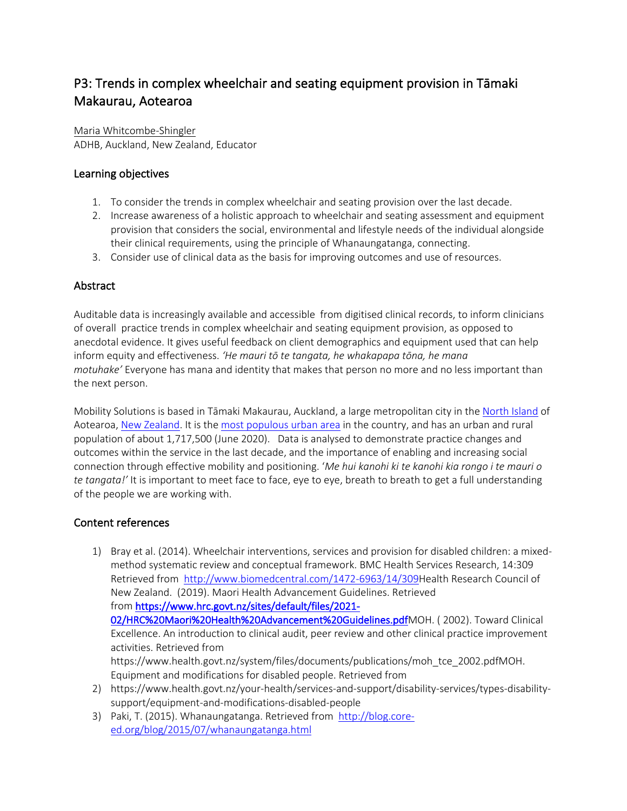# P3: Trends in complex wheelchair and seating equipment provision in Tāmaki Makaurau, Aotearoa

Maria Whitcombe-Shingler ADHB, Auckland, New Zealand, Educator

# Learning objectives

- 1. To consider the trends in complex wheelchair and seating provision over the last decade.
- 2. Increase awareness of a holistic approach to wheelchair and seating assessment and equipment provision that considers the social, environmental and lifestyle needs of the individual alongside their clinical requirements, using the principle of Whanaungatanga, connecting.
- 3. Consider use of clinical data as the basis for improving outcomes and use of resources.

# Abstract

Auditable data is increasingly available and accessible from digitised clinical records, to inform clinicians of overall practice trends in complex wheelchair and seating equipment provision, as opposed to anecdotal evidence. It gives useful feedback on client demographics and equipment used that can help inform equity and effectiveness. *'He mauri tō te tangata, he whakapapa tōna, he mana motuhake'* Everyone has mana and identity that makes that person no more and no less important than the next person.

Mobility Solutions is based in Tāmaki Makaurau, Auckland, a large metropolitan city in the North Island of Aotearoa, New Zealand. It is the most populous urban area in the country, and has an urban and rural population of about 1,717,500 (June 2020). Data is analysed to demonstrate practice changes and outcomes within the service in the last decade, and the importance of enabling and increasing social connection through effective mobility and positioning. '*Me hui kanohi ki te kanohi kia rongo i te mauri o te tangata!'* It is important to meet face to face, eye to eye, breath to breath to get a full understanding of the people we are working with.

# Content references

- 1) Bray et al. (2014). Wheelchair interventions, services and provision for disabled children: a mixedmethod systematic review and conceptual framework. BMC Health Services Research, 14:309 Retrieved from http://www.biomedcentral.com/1472-6963/14/309Health Research Council of New Zealand. (2019). Maori Health Advancement Guidelines. Retrieved from https://www.hrc.govt.nz/sites/default/files/2021- 02/HRC%20Maori%20Health%20Advancement%20Guidelines.pdfMOH. ( 2002). Toward Clinical Excellence. An introduction to clinical audit, peer review and other clinical practice improvement activities. Retrieved from https://www.health.govt.nz/system/files/documents/publications/moh\_tce\_2002.pdfMOH. Equipment and modifications for disabled people. Retrieved from 2) https://www.health.govt.nz/your-health/services-and-support/disability-services/types-disabilitysupport/equipment-and-modifications-disabled-people
- 3) Paki, T. (2015). Whanaungatanga. Retrieved from http://blog.coreed.org/blog/2015/07/whanaungatanga.html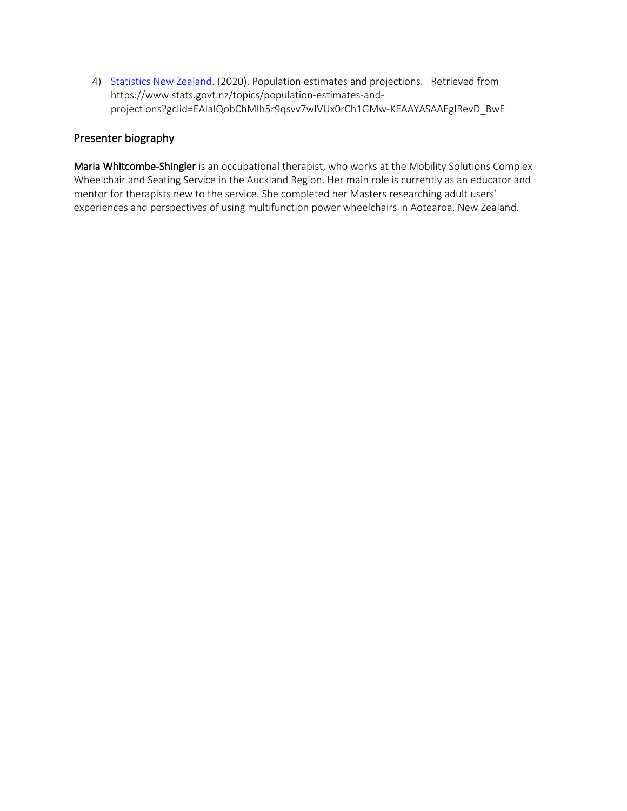4) Statistics New Zealand. (2020). Population estimates and projections. Retrieved from https://www.stats.govt.nz/topics/population-estimates-andprojections?gclid=EAIaIQobChMIh5r9qsvv7wIVUx0rCh1GMw-KEAAYASAAEgIRevD\_BwE

### Presenter biography

Maria Whitcombe-Shingler is an occupational therapist, who works at the Mobility Solutions Complex Wheelchair and Seating Service in the Auckland Region. Her main role is currently as an educator and mentor for therapists new to the service. She completed her Masters researching adult users' experiences and perspectives of using multifunction power wheelchairs in Aotearoa, New Zealand.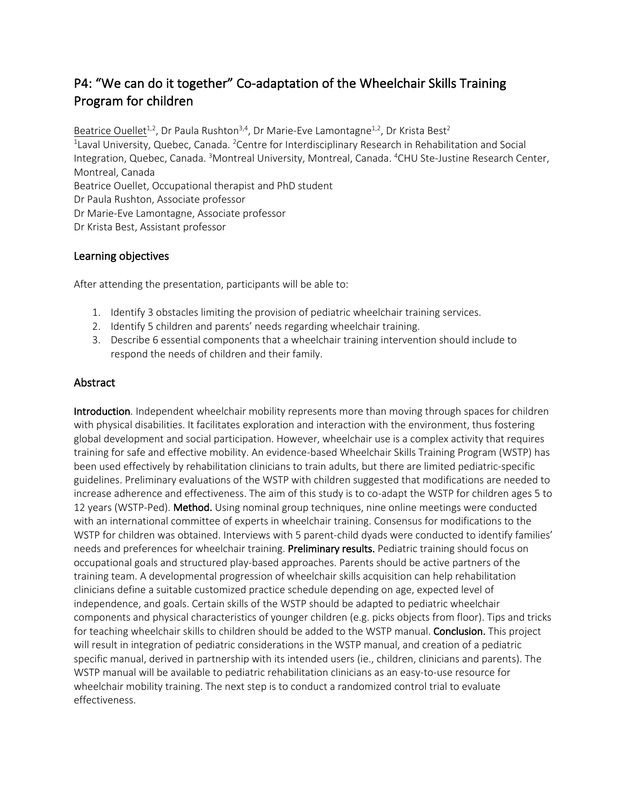# P4: "We can do it together" Co-adaptation of the Wheelchair Skills Training Program for children

Beatrice Ouellet<sup>1,2</sup>, Dr Paula Rushton<sup>3,4</sup>, Dr Marie-Eve Lamontagne<sup>1,2</sup>, Dr Krista Best<sup>2</sup> <sup>1</sup> Laval University, Quebec, Canada. <sup>2</sup> Centre for Interdisciplinary Research in Rehabilitation and Social Integration, Quebec, Canada. <sup>3</sup>Montreal University, Montreal, Canada. <sup>4</sup>CHU Ste-Justine Research Center, Montreal, Canada Beatrice Ouellet, Occupational therapist and PhD student Dr Paula Rushton, Associate professor Dr Marie-Eve Lamontagne, Associate professor Dr Krista Best, Assistant professor

### Learning objectives

After attending the presentation, participants will be able to:

- 1. Identify 3 obstacles limiting the provision of pediatric wheelchair training services.
- 2. Identify 5 children and parents' needs regarding wheelchair training.
- 3. Describe 6 essential components that a wheelchair training intervention should include to respond the needs of children and their family.

### Abstract

Introduction. Independent wheelchair mobility represents more than moving through spaces for children with physical disabilities. It facilitates exploration and interaction with the environment, thus fostering global development and social participation. However, wheelchair use is a complex activity that requires training for safe and effective mobility. An evidence-based Wheelchair Skills Training Program (WSTP) has been used effectively by rehabilitation clinicians to train adults, but there are limited pediatric-specific guidelines. Preliminary evaluations of the WSTP with children suggested that modifications are needed to increase adherence and effectiveness. The aim of this study is to co-adapt the WSTP for children ages 5 to 12 years (WSTP-Ped). Method. Using nominal group techniques, nine online meetings were conducted with an international committee of experts in wheelchair training. Consensus for modifications to the WSTP for children was obtained. Interviews with 5 parent-child dyads were conducted to identify families' needs and preferences for wheelchair training. Preliminary results. Pediatric training should focus on occupational goals and structured play-based approaches. Parents should be active partners of the training team. A developmental progression of wheelchair skills acquisition can help rehabilitation clinicians define a suitable customized practice schedule depending on age, expected level of independence, and goals. Certain skills of the WSTP should be adapted to pediatric wheelchair components and physical characteristics of younger children (e.g. picks objects from floor). Tips and tricks for teaching wheelchair skills to children should be added to the WSTP manual. Conclusion. This project will result in integration of pediatric considerations in the WSTP manual, and creation of a pediatric specific manual, derived in partnership with its intended users (ie., children, clinicians and parents). The WSTP manual will be available to pediatric rehabilitation clinicians as an easy-to-use resource for wheelchair mobility training. The next step is to conduct a randomized control trial to evaluate effectiveness.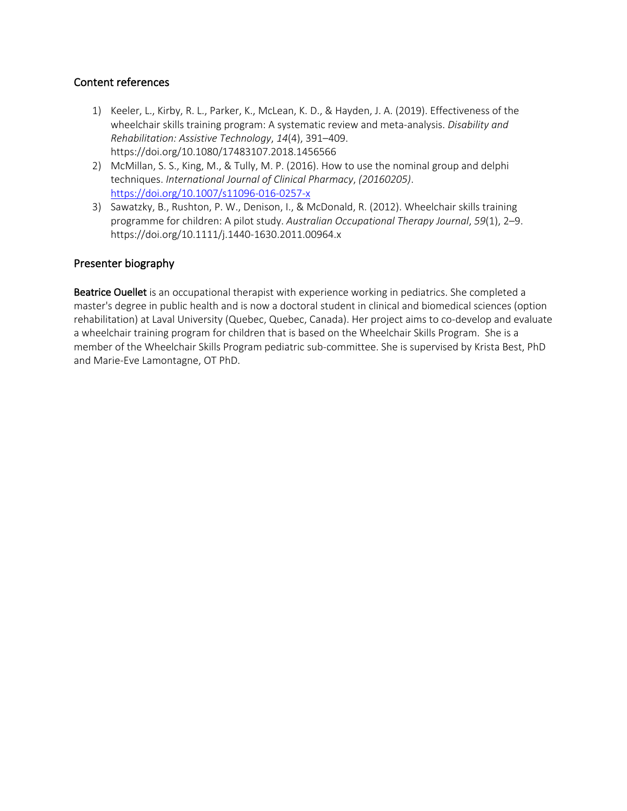### Content references

- 1) Keeler, L., Kirby, R. L., Parker, K., McLean, K. D., & Hayden, J. A. (2019). Effectiveness of the wheelchair skills training program: A systematic review and meta-analysis. *Disability and Rehabilitation: Assistive Technology*, *14*(4), 391–409. https://doi.org/10.1080/17483107.2018.1456566
- 2) McMillan, S. S., King, M., & Tully, M. P. (2016). How to use the nominal group and delphi techniques. *International Journal of Clinical Pharmacy*, *(20160205)*. https://doi.org/10.1007/s11096-016-0257-x
- 3) Sawatzky, B., Rushton, P. W., Denison, I., & McDonald, R. (2012). Wheelchair skills training programme for children: A pilot study. *Australian Occupational Therapy Journal*, *59*(1), 2–9. https://doi.org/10.1111/j.1440-1630.2011.00964.x

### Presenter biography

Beatrice Ouellet is an occupational therapist with experience working in pediatrics. She completed a master's degree in public health and is now a doctoral student in clinical and biomedical sciences (option rehabilitation) at Laval University (Quebec, Quebec, Canada). Her project aims to co-develop and evaluate a wheelchair training program for children that is based on the Wheelchair Skills Program. She is a member of the Wheelchair Skills Program pediatric sub-committee. She is supervised by Krista Best, PhD and Marie-Eve Lamontagne, OT PhD.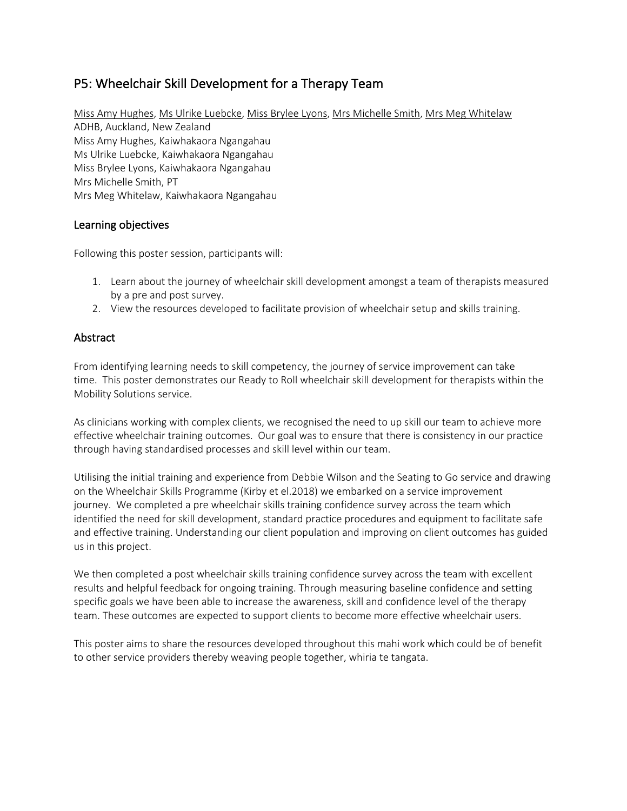# P5: Wheelchair Skill Development for a Therapy Team

Miss Amy Hughes, Ms Ulrike Luebcke, Miss Brylee Lyons, Mrs Michelle Smith, Mrs Meg Whitelaw ADHB, Auckland, New Zealand Miss Amy Hughes, Kaiwhakaora Ngangahau Ms Ulrike Luebcke, Kaiwhakaora Ngangahau Miss Brylee Lyons, Kaiwhakaora Ngangahau Mrs Michelle Smith, PT Mrs Meg Whitelaw, Kaiwhakaora Ngangahau

### Learning objectives

Following this poster session, participants will:

- 1. Learn about the journey of wheelchair skill development amongst a team of therapists measured by a pre and post survey.
- 2. View the resources developed to facilitate provision of wheelchair setup and skills training.

### Abstract

From identifying learning needs to skill competency, the journey of service improvement can take time. This poster demonstrates our Ready to Roll wheelchair skill development for therapists within the Mobility Solutions service.

As clinicians working with complex clients, we recognised the need to up skill our team to achieve more effective wheelchair training outcomes. Our goal was to ensure that there is consistency in our practice through having standardised processes and skill level within our team.

Utilising the initial training and experience from Debbie Wilson and the Seating to Go service and drawing on the Wheelchair Skills Programme (Kirby et el.2018) we embarked on a service improvement journey. We completed a pre wheelchair skills training confidence survey across the team which identified the need for skill development, standard practice procedures and equipment to facilitate safe and effective training. Understanding our client population and improving on client outcomes has guided us in this project.

We then completed a post wheelchair skills training confidence survey across the team with excellent results and helpful feedback for ongoing training. Through measuring baseline confidence and setting specific goals we have been able to increase the awareness, skill and confidence level of the therapy team. These outcomes are expected to support clients to become more effective wheelchair users.

This poster aims to share the resources developed throughout this mahi work which could be of benefit to other service providers thereby weaving people together, whiria te tangata.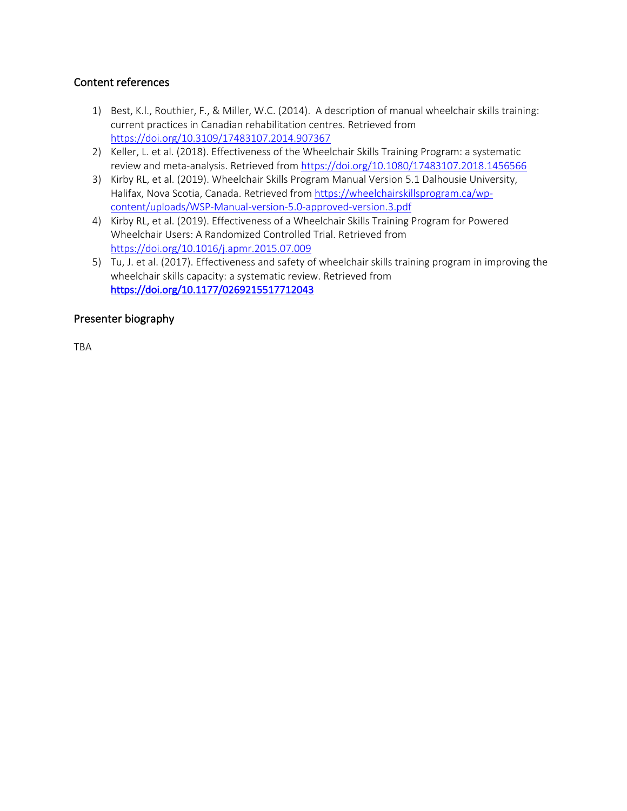## Content references

- 1) Best, K.l., Routhier, F., & Miller, W.C. (2014). A description of manual wheelchair skills training: current practices in Canadian rehabilitation centres. Retrieved from https://doi.org/10.3109/17483107.2014.907367
- 2) Keller, L. et al. (2018). Effectiveness of the Wheelchair Skills Training Program: a systematic review and meta-analysis. Retrieved from https://doi.org/10.1080/17483107.2018.1456566
- 3) Kirby RL, et al. (2019). Wheelchair Skills Program Manual Version 5.1 Dalhousie University, Halifax, Nova Scotia, Canada. Retrieved from https://wheelchairskillsprogram.ca/wpcontent/uploads/WSP-Manual-version-5.0-approved-version.3.pdf
- 4) Kirby RL, et al. (2019). Effectiveness of a Wheelchair Skills Training Program for Powered Wheelchair Users: A Randomized Controlled Trial. Retrieved from https://doi.org/10.1016/j.apmr.2015.07.009
- 5) Tu, J. et al. (2017). Effectiveness and safety of wheelchair skills training program in improving the wheelchair skills capacity: a systematic review. Retrieved from https://doi.org/10.1177/0269215517712043

## Presenter biography

**TRA**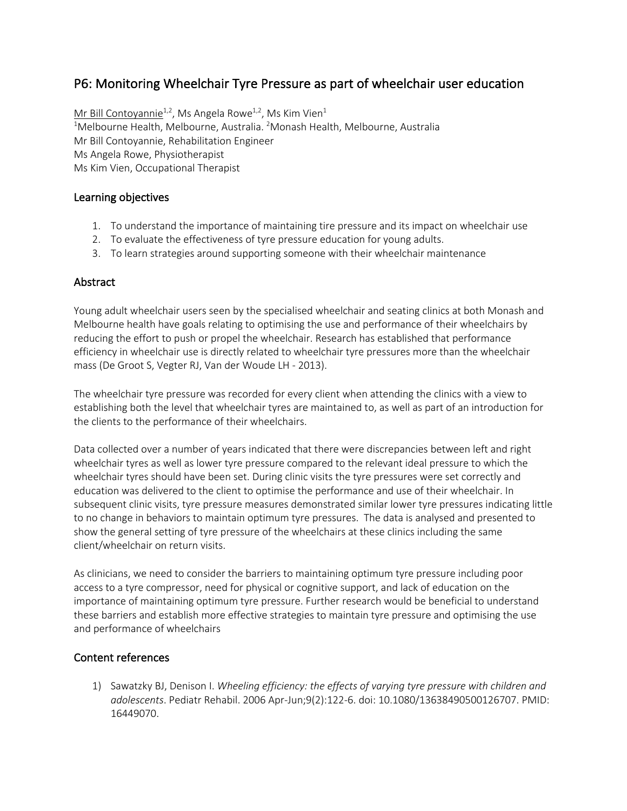# P6: Monitoring Wheelchair Tyre Pressure as part of wheelchair user education

Mr Bill Contoyannie<sup>1,2</sup>, Ms Angela Rowe<sup>1,2</sup>, Ms Kim Vien<sup>1</sup> <sup>1</sup>Melbourne Health, Melbourne, Australia. <sup>2</sup>Monash Health, Melbourne, Australia Mr Bill Contoyannie, Rehabilitation Engineer Ms Angela Rowe, Physiotherapist Ms Kim Vien, Occupational Therapist

### Learning objectives

- 1. To understand the importance of maintaining tire pressure and its impact on wheelchair use
- 2. To evaluate the effectiveness of tyre pressure education for young adults.
- 3. To learn strategies around supporting someone with their wheelchair maintenance

### **Abstract**

Young adult wheelchair users seen by the specialised wheelchair and seating clinics at both Monash and Melbourne health have goals relating to optimising the use and performance of their wheelchairs by reducing the effort to push or propel the wheelchair. Research has established that performance efficiency in wheelchair use is directly related to wheelchair tyre pressures more than the wheelchair mass (De Groot S, Vegter RJ, Van der Woude LH - 2013).

The wheelchair tyre pressure was recorded for every client when attending the clinics with a view to establishing both the level that wheelchair tyres are maintained to, as well as part of an introduction for the clients to the performance of their wheelchairs.

Data collected over a number of years indicated that there were discrepancies between left and right wheelchair tyres as well as lower tyre pressure compared to the relevant ideal pressure to which the wheelchair tyres should have been set. During clinic visits the tyre pressures were set correctly and education was delivered to the client to optimise the performance and use of their wheelchair. In subsequent clinic visits, tyre pressure measures demonstrated similar lower tyre pressures indicating little to no change in behaviors to maintain optimum tyre pressures. The data is analysed and presented to show the general setting of tyre pressure of the wheelchairs at these clinics including the same client/wheelchair on return visits.

As clinicians, we need to consider the barriers to maintaining optimum tyre pressure including poor access to a tyre compressor, need for physical or cognitive support, and lack of education on the importance of maintaining optimum tyre pressure. Further research would be beneficial to understand these barriers and establish more effective strategies to maintain tyre pressure and optimising the use and performance of wheelchairs

# Content references

1) Sawatzky BJ, Denison I. *Wheeling efficiency: the effects of varying tyre pressure with children and adolescents*. Pediatr Rehabil. 2006 Apr-Jun;9(2):122-6. doi: 10.1080/13638490500126707. PMID: 16449070.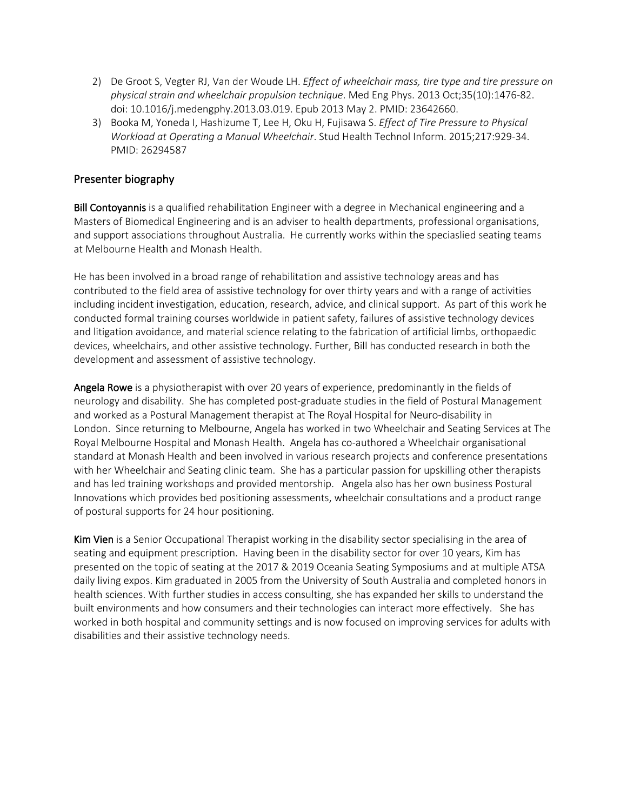- 2) De Groot S, Vegter RJ, Van der Woude LH. *Effect of wheelchair mass, tire type and tire pressure on physical strain and wheelchair propulsion technique*. Med Eng Phys. 2013 Oct;35(10):1476-82. doi: 10.1016/j.medengphy.2013.03.019. Epub 2013 May 2. PMID: 23642660.
- 3) Booka M, Yoneda I, Hashizume T, Lee H, Oku H, Fujisawa S. *Effect of Tire Pressure to Physical Workload at Operating a Manual Wheelchair*. Stud Health Technol Inform. 2015;217:929-34. PMID: 26294587

Bill Contoyannis is a qualified rehabilitation Engineer with a degree in Mechanical engineering and a Masters of Biomedical Engineering and is an adviser to health departments, professional organisations, and support associations throughout Australia. He currently works within the speciaslied seating teams at Melbourne Health and Monash Health.

He has been involved in a broad range of rehabilitation and assistive technology areas and has contributed to the field area of assistive technology for over thirty years and with a range of activities including incident investigation, education, research, advice, and clinical support. As part of this work he conducted formal training courses worldwide in patient safety, failures of assistive technology devices and litigation avoidance, and material science relating to the fabrication of artificial limbs, orthopaedic devices, wheelchairs, and other assistive technology. Further, Bill has conducted research in both the development and assessment of assistive technology.

Angela Rowe is a physiotherapist with over 20 years of experience, predominantly in the fields of neurology and disability. She has completed post-graduate studies in the field of Postural Management and worked as a Postural Management therapist at The Royal Hospital for Neuro-disability in London. Since returning to Melbourne, Angela has worked in two Wheelchair and Seating Services at The Royal Melbourne Hospital and Monash Health. Angela has co-authored a Wheelchair organisational standard at Monash Health and been involved in various research projects and conference presentations with her Wheelchair and Seating clinic team. She has a particular passion for upskilling other therapists and has led training workshops and provided mentorship. Angela also has her own business Postural Innovations which provides bed positioning assessments, wheelchair consultations and a product range of postural supports for 24 hour positioning.

Kim Vien is a Senior Occupational Therapist working in the disability sector specialising in the area of seating and equipment prescription. Having been in the disability sector for over 10 years, Kim has presented on the topic of seating at the 2017 & 2019 Oceania Seating Symposiums and at multiple ATSA daily living expos. Kim graduated in 2005 from the University of South Australia and completed honors in health sciences. With further studies in access consulting, she has expanded her skills to understand the built environments and how consumers and their technologies can interact more effectively. She has worked in both hospital and community settings and is now focused on improving services for adults with disabilities and their assistive technology needs.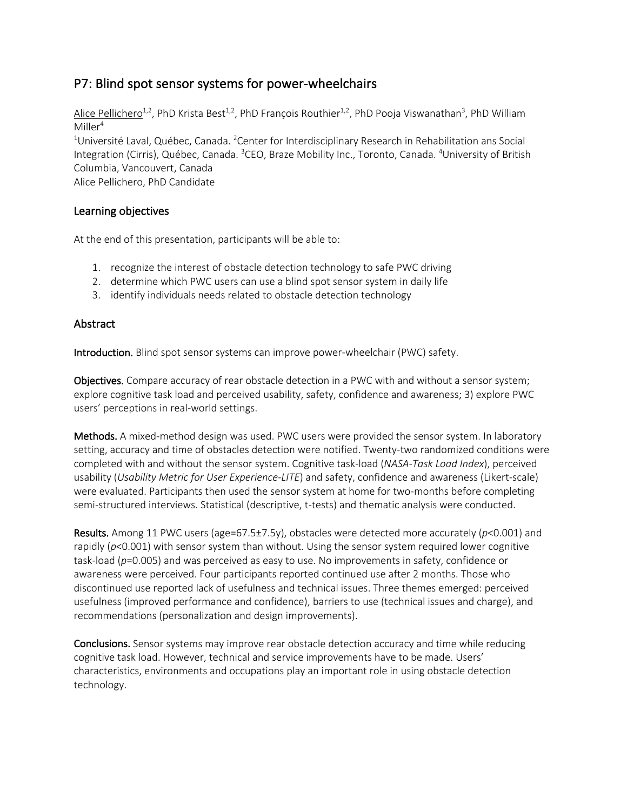# P7: Blind spot sensor systems for power-wheelchairs

Alice Pellichero<sup>1,2</sup>, PhD Krista Best<sup>1,2</sup>, PhD François Routhier<sup>1,2</sup>, PhD Pooja Viswanathan<sup>3</sup>, PhD William  $M$ iller<sup>4</sup>

<sup>1</sup>Université Laval, Québec, Canada. <sup>2</sup>Center for Interdisciplinary Research in Rehabilitation ans Social Integration (Cirris), Québec, Canada. <sup>3</sup>CEO, Braze Mobility Inc., Toronto, Canada. <sup>4</sup>University of British Columbia, Vancouvert, Canada

Alice Pellichero, PhD Candidate

### Learning objectives

At the end of this presentation, participants will be able to:

- 1. recognize the interest of obstacle detection technology to safe PWC driving
- 2. determine which PWC users can use a blind spot sensor system in daily life
- 3. identify individuals needs related to obstacle detection technology

### Abstract

Introduction. Blind spot sensor systems can improve power-wheelchair (PWC) safety.

Objectives. Compare accuracy of rear obstacle detection in a PWC with and without a sensor system; explore cognitive task load and perceived usability, safety, confidence and awareness; 3) explore PWC users' perceptions in real-world settings.

Methods. A mixed-method design was used. PWC users were provided the sensor system. In laboratory setting, accuracy and time of obstacles detection were notified. Twenty-two randomized conditions were completed with and without the sensor system. Cognitive task-load (*NASA-Task Load Index*), perceived usability (*Usability Metric for User Experience-LITE*) and safety, confidence and awareness (Likert-scale) were evaluated. Participants then used the sensor system at home for two-months before completing semi-structured interviews. Statistical (descriptive, t-tests) and thematic analysis were conducted.

Results. Among 11 PWC users (age=67.5±7.5y), obstacles were detected more accurately (*p*<0.001) and rapidly ( $p$ <0.001) with sensor system than without. Using the sensor system required lower cognitive task-load (*p*=0.005) and was perceived as easy to use. No improvements in safety, confidence or awareness were perceived. Four participants reported continued use after 2 months. Those who discontinued use reported lack of usefulness and technical issues. Three themes emerged: perceived usefulness (improved performance and confidence), barriers to use (technical issues and charge), and recommendations (personalization and design improvements).

Conclusions. Sensor systems may improve rear obstacle detection accuracy and time while reducing cognitive task load. However, technical and service improvements have to be made. Users' characteristics, environments and occupations play an important role in using obstacle detection technology.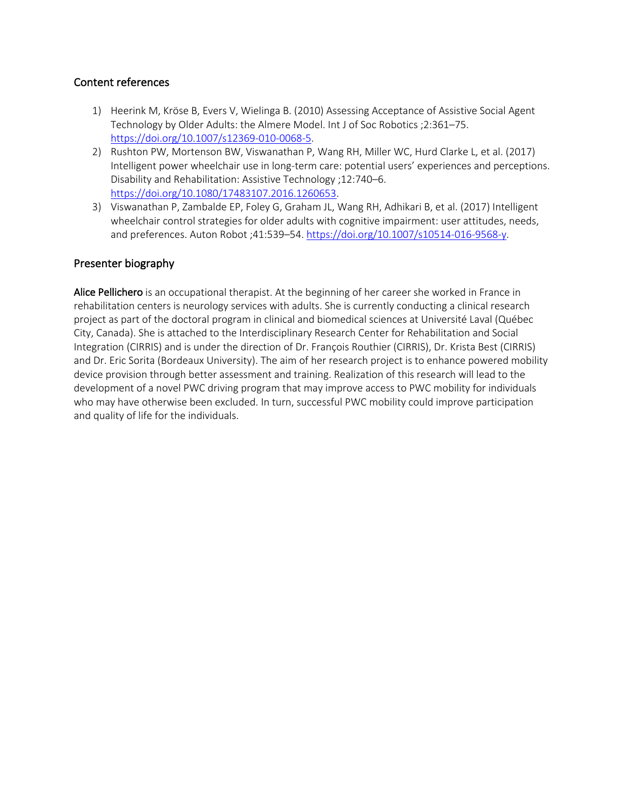### Content references

- 1) Heerink M, Kröse B, Evers V, Wielinga B. (2010) Assessing Acceptance of Assistive Social Agent Technology by Older Adults: the Almere Model. Int J of Soc Robotics ;2:361–75. https://doi.org/10.1007/s12369-010-0068-5.
- 2) Rushton PW, Mortenson BW, Viswanathan P, Wang RH, Miller WC, Hurd Clarke L, et al. (2017) Intelligent power wheelchair use in long-term care: potential users' experiences and perceptions. Disability and Rehabilitation: Assistive Technology ;12:740–6. https://doi.org/10.1080/17483107.2016.1260653.
- 3) Viswanathan P, Zambalde EP, Foley G, Graham JL, Wang RH, Adhikari B, et al. (2017) Intelligent wheelchair control strategies for older adults with cognitive impairment: user attitudes, needs, and preferences. Auton Robot ;41:539-54. https://doi.org/10.1007/s10514-016-9568-y.

#### Presenter biography

Alice Pellichero is an occupational therapist. At the beginning of her career she worked in France in rehabilitation centers is neurology services with adults. She is currently conducting a clinical research project as part of the doctoral program in clinical and biomedical sciences at Université Laval (Québec City, Canada). She is attached to the Interdisciplinary Research Center for Rehabilitation and Social Integration (CIRRIS) and is under the direction of Dr. François Routhier (CIRRIS), Dr. Krista Best (CIRRIS) and Dr. Eric Sorita (Bordeaux University). The aim of her research project is to enhance powered mobility device provision through better assessment and training. Realization of this research will lead to the development of a novel PWC driving program that may improve access to PWC mobility for individuals who may have otherwise been excluded. In turn, successful PWC mobility could improve participation and quality of life for the individuals.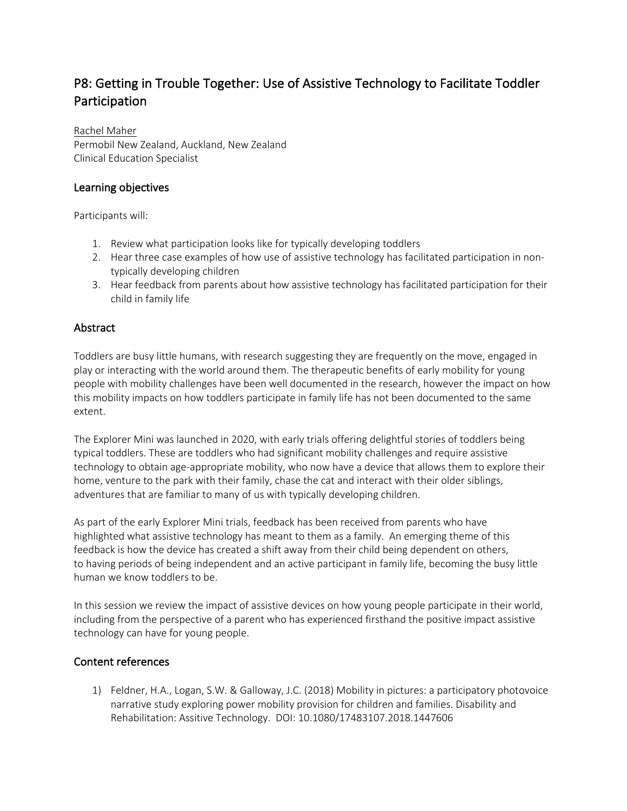# P8: Getting in Trouble Together: Use of Assistive Technology to Facilitate Toddler Participation

# Rachel Maher

Permobil New Zealand, Auckland, New Zealand Clinical Education Specialist

# Learning objectives

Participants will:

- 1. Review what participation looks like for typically developing toddlers
- 2. Hear three case examples of how use of assistive technology has facilitated participation in nontypically developing children
- 3. Hear feedback from parents about how assistive technology has facilitated participation for their child in family life

# Abstract

Toddlers are busy little humans, with research suggesting they are frequently on the move, engaged in play or interacting with the world around them. The therapeutic benefits of early mobility for young people with mobility challenges have been well documented in the research, however the impact on how this mobility impacts on how toddlers participate in family life has not been documented to the same extent.

The Explorer Mini was launched in 2020, with early trials offering delightful stories of toddlers being typical toddlers. These are toddlers who had significant mobility challenges and require assistive technology to obtain age-appropriate mobility, who now have a device that allows them to explore their home, venture to the park with their family, chase the cat and interact with their older siblings, adventures that are familiar to many of us with typically developing children.

As part of the early Explorer Mini trials, feedback has been received from parents who have highlighted what assistive technology has meant to them as a family. An emerging theme of this feedback is how the device has created a shift away from their child being dependent on others, to having periods of being independent and an active participant in family life, becoming the busy little human we know toddlers to be.

In this session we review the impact of assistive devices on how young people participate in their world, including from the perspective of a parent who has experienced firsthand the positive impact assistive technology can have for young people.

# Content references

1) Feldner, H.A., Logan, S.W. & Galloway, J.C. (2018) Mobility in pictures: a participatory photovoice narrative study exploring power mobility provision for children and families. Disability and Rehabilitation: Assitive Technology. DOI: 10.1080/17483107.2018.1447606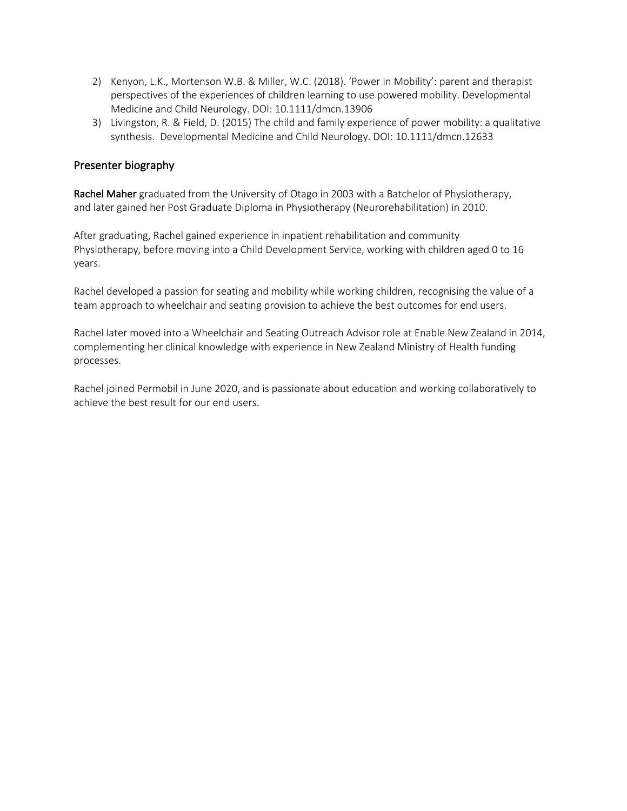- 2) Kenyon, L.K., Mortenson W.B. & Miller, W.C. (2018). 'Power in Mobility': parent and therapist perspectives of the experiences of children learning to use powered mobility. Developmental Medicine and Child Neurology. DOI: 10.1111/dmcn.13906
- 3) Livingston, R. & Field, D. (2015) The child and family experience of power mobility: a qualitative synthesis. Developmental Medicine and Child Neurology. DOI: 10.1111/dmcn.12633

Rachel Maher graduated from the University of Otago in 2003 with a Batchelor of Physiotherapy, and later gained her Post Graduate Diploma in Physiotherapy (Neurorehabilitation) in 2010.

After graduating, Rachel gained experience in inpatient rehabilitation and community Physiotherapy, before moving into a Child Development Service, working with children aged 0 to 16 years.

Rachel developed a passion for seating and mobility while working children, recognising the value of a team approach to wheelchair and seating provision to achieve the best outcomes for end users.

Rachel later moved into a Wheelchair and Seating Outreach Advisor role at Enable New Zealand in 2014, complementing her clinical knowledge with experience in New Zealand Ministry of Health funding processes.

Rachel joined Permobil in June 2020, and is passionate about education and working collaboratively to achieve the best result for our end users.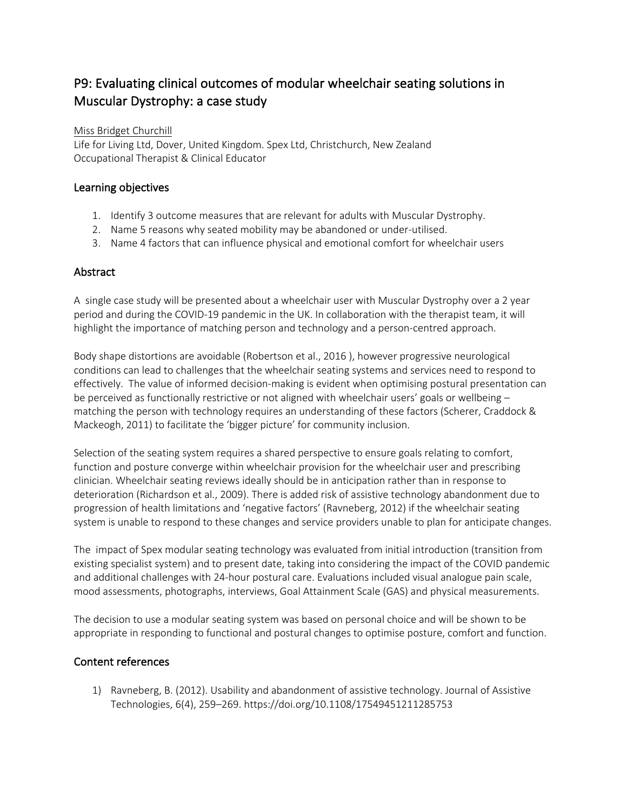# P9: Evaluating clinical outcomes of modular wheelchair seating solutions in Muscular Dystrophy: a case study

Miss Bridget Churchill

Life for Living Ltd, Dover, United Kingdom. Spex Ltd, Christchurch, New Zealand Occupational Therapist & Clinical Educator

### Learning objectives

- 1. Identify 3 outcome measures that are relevant for adults with Muscular Dystrophy.
- 2. Name 5 reasons why seated mobility may be abandoned or under-utilised.
- 3. Name 4 factors that can influence physical and emotional comfort for wheelchair users

### Abstract

A single case study will be presented about a wheelchair user with Muscular Dystrophy over a 2 year period and during the COVID-19 pandemic in the UK. In collaboration with the therapist team, it will highlight the importance of matching person and technology and a person-centred approach.

Body shape distortions are avoidable (Robertson et al., 2016 ), however progressive neurological conditions can lead to challenges that the wheelchair seating systems and services need to respond to effectively. The value of informed decision-making is evident when optimising postural presentation can be perceived as functionally restrictive or not aligned with wheelchair users' goals or wellbeing – matching the person with technology requires an understanding of these factors (Scherer, Craddock & Mackeogh, 2011) to facilitate the 'bigger picture' for community inclusion.

Selection of the seating system requires a shared perspective to ensure goals relating to comfort, function and posture converge within wheelchair provision for the wheelchair user and prescribing clinician. Wheelchair seating reviews ideally should be in anticipation rather than in response to deterioration (Richardson et al., 2009). There is added risk of assistive technology abandonment due to progression of health limitations and 'negative factors' (Ravneberg, 2012) if the wheelchair seating system is unable to respond to these changes and service providers unable to plan for anticipate changes.

The impact of Spex modular seating technology was evaluated from initial introduction (transition from existing specialist system) and to present date, taking into considering the impact of the COVID pandemic and additional challenges with 24-hour postural care. Evaluations included visual analogue pain scale, mood assessments, photographs, interviews, Goal Attainment Scale (GAS) and physical measurements.

The decision to use a modular seating system was based on personal choice and will be shown to be appropriate in responding to functional and postural changes to optimise posture, comfort and function.

# Content references

1) Ravneberg, B. (2012). Usability and abandonment of assistive technology. Journal of Assistive Technologies, 6(4), 259–269. https://doi.org/10.1108/17549451211285753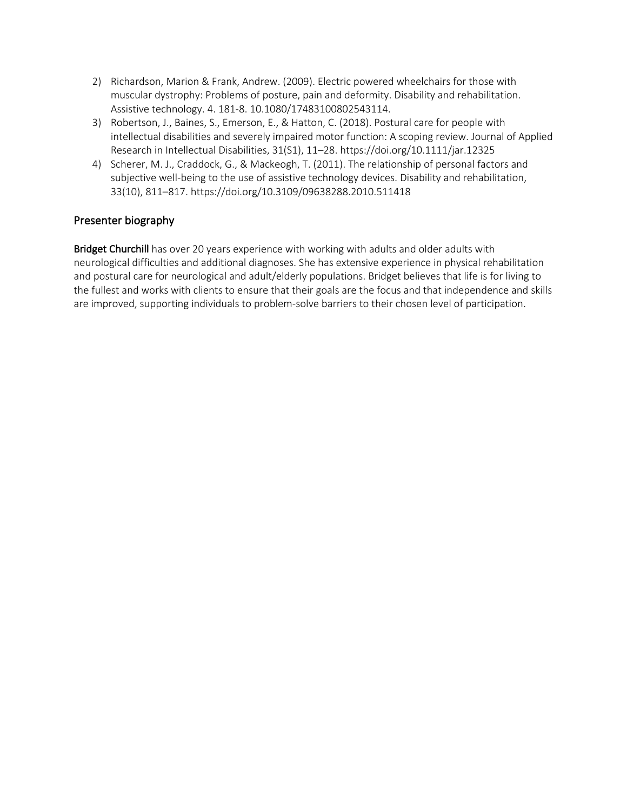- 2) Richardson, Marion & Frank, Andrew. (2009). Electric powered wheelchairs for those with muscular dystrophy: Problems of posture, pain and deformity. Disability and rehabilitation. Assistive technology. 4. 181-8. 10.1080/17483100802543114.
- 3) Robertson, J., Baines, S., Emerson, E., & Hatton, C. (2018). Postural care for people with intellectual disabilities and severely impaired motor function: A scoping review. Journal of Applied Research in Intellectual Disabilities, 31(S1), 11–28. https://doi.org/10.1111/jar.12325
- 4) Scherer, M. J., Craddock, G., & Mackeogh, T. (2011). The relationship of personal factors and subjective well-being to the use of assistive technology devices. Disability and rehabilitation, 33(10), 811–817. https://doi.org/10.3109/09638288.2010.511418

Bridget Churchill has over 20 years experience with working with adults and older adults with neurological difficulties and additional diagnoses. She has extensive experience in physical rehabilitation and postural care for neurological and adult/elderly populations. Bridget believes that life is for living to the fullest and works with clients to ensure that their goals are the focus and that independence and skills are improved, supporting individuals to problem-solve barriers to their chosen level of participation.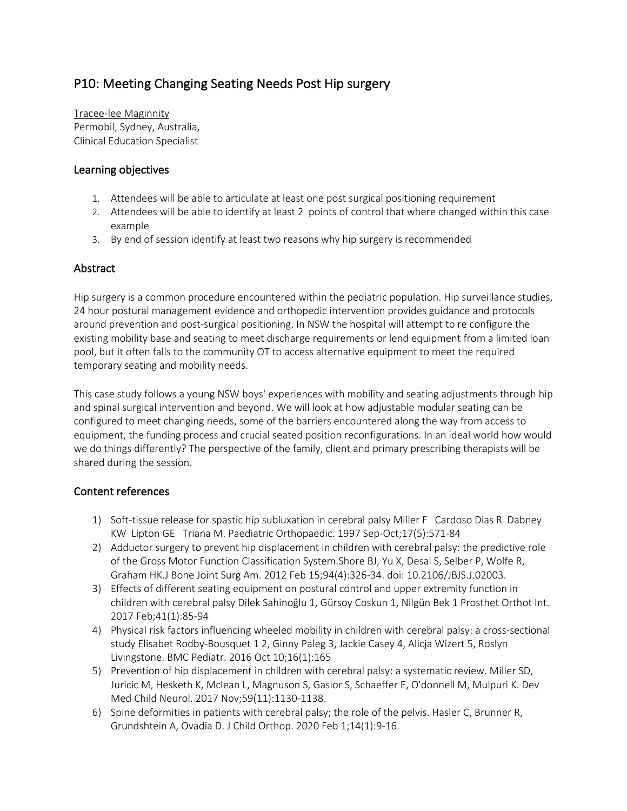# P10: Meeting Changing Seating Needs Post Hip surgery

Tracee-lee Maginnity Permobil, Sydney, Australia, Clinical Education Specialist

## Learning objectives

- 1. Attendees will be able to articulate at least one post surgical positioning requirement
- 2. Attendees will be able to identify at least 2 points of control that where changed within this case example
- 3. By end of session identify at least two reasons why hip surgery is recommended

### Abstract

Hip surgery is a common procedure encountered within the pediatric population. Hip surveillance studies, 24 hour postural management evidence and orthopedic intervention provides guidance and protocols around prevention and post-surgical positioning. In NSW the hospital will attempt to re configure the existing mobility base and seating to meet discharge requirements or lend equipment from a limited loan pool, but it often falls to the community OT to access alternative equipment to meet the required temporary seating and mobility needs.

This case study follows a young NSW boys' experiences with mobility and seating adjustments through hip and spinal surgical intervention and beyond. We will look at how adjustable modular seating can be configured to meet changing needs, some of the barriers encountered along the way from access to equipment, the funding process and crucial seated position reconfigurations. In an ideal world how would we do things differently? The perspective of the family, client and primary prescribing therapists will be shared during the session.

### Content references

- 1) Soft-tissue release for spastic hip subluxation in cerebral palsy Miller F Cardoso Dias R Dabney KW Lipton GE Triana M. Paediatric Orthopaedic. 1997 Sep-Oct;17(5):571-84
- 2) Adductor surgery to prevent hip displacement in children with cerebral palsy: the predictive role of the Gross Motor Function Classification System.Shore BJ, Yu X, Desai S, Selber P, Wolfe R, Graham HK.J Bone Joint Surg Am. 2012 Feb 15;94(4):326-34. doi: 10.2106/JBJS.J.02003.
- 3) Effects of different seating equipment on postural control and upper extremity function in children with cerebral palsy Dilek Sahinoğlu 1, Gürsoy Coskun 1, Nilgün Bek 1 Prosthet Orthot Int. 2017 Feb;41(1):85-94
- 4) Physical risk factors influencing wheeled mobility in children with cerebral palsy: a cross-sectional study Elisabet Rodby-Bousquet 1 2, Ginny Paleg 3, Jackie Casey 4, Alicja Wizert 5, Roslyn Livingstone. BMC Pediatr. 2016 Oct 10;16(1):165
- 5) Prevention of hip displacement in children with cerebral palsy: a systematic review. Miller SD, Juricic M, Hesketh K, Mclean L, Magnuson S, Gasior S, Schaeffer E, O'donnell M, Mulpuri K. Dev Med Child Neurol. 2017 Nov;59(11):1130-1138.
- 6) Spine deformities in patients with cerebral palsy; the role of the pelvis. Hasler C, Brunner R, Grundshtein A, Ovadia D. J Child Orthop. 2020 Feb 1;14(1):9-16.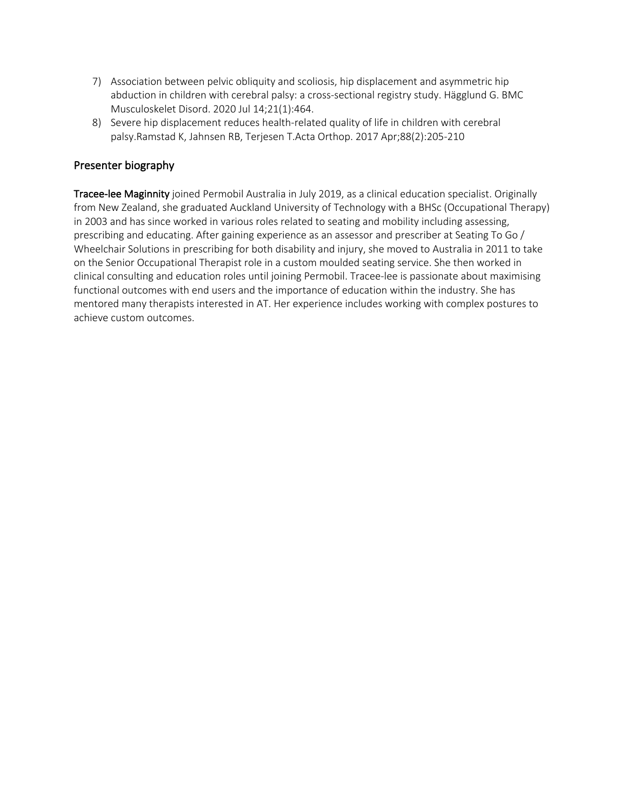- 7) Association between pelvic obliquity and scoliosis, hip displacement and asymmetric hip abduction in children with cerebral palsy: a cross-sectional registry study. Hägglund G. BMC Musculoskelet Disord. 2020 Jul 14;21(1):464.
- 8) Severe hip displacement reduces health-related quality of life in children with cerebral palsy.Ramstad K, Jahnsen RB, Terjesen T.Acta Orthop. 2017 Apr;88(2):205-210

Tracee-lee Maginnity joined Permobil Australia in July 2019, as a clinical education specialist. Originally from New Zealand, she graduated Auckland University of Technology with a BHSc (Occupational Therapy) in 2003 and has since worked in various roles related to seating and mobility including assessing, prescribing and educating. After gaining experience as an assessor and prescriber at Seating To Go / Wheelchair Solutions in prescribing for both disability and injury, she moved to Australia in 2011 to take on the Senior Occupational Therapist role in a custom moulded seating service. She then worked in clinical consulting and education roles until joining Permobil. Tracee-lee is passionate about maximising functional outcomes with end users and the importance of education within the industry. She has mentored many therapists interested in AT. Her experience includes working with complex postures to achieve custom outcomes.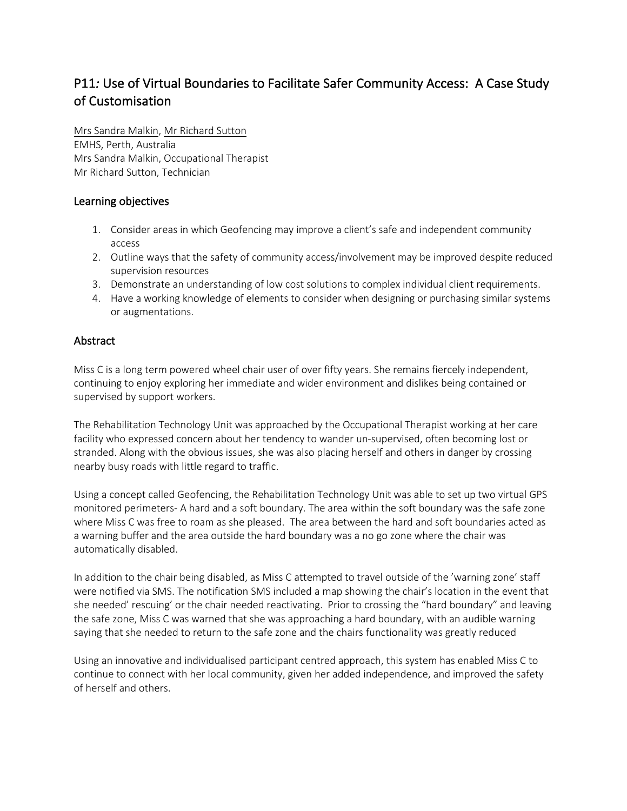# P11*:* Use of Virtual Boundaries to Facilitate Safer Community Access: A Case Study of Customisation

Mrs Sandra Malkin, Mr Richard Sutton EMHS, Perth, Australia Mrs Sandra Malkin, Occupational Therapist Mr Richard Sutton, Technician

## Learning objectives

- 1. Consider areas in which Geofencing may improve a client's safe and independent community access
- 2. Outline ways that the safety of community access/involvement may be improved despite reduced supervision resources
- 3. Demonstrate an understanding of low cost solutions to complex individual client requirements.
- 4. Have a working knowledge of elements to consider when designing or purchasing similar systems or augmentations.

### Abstract

Miss C is a long term powered wheel chair user of over fifty years. She remains fiercely independent, continuing to enjoy exploring her immediate and wider environment and dislikes being contained or supervised by support workers.

The Rehabilitation Technology Unit was approached by the Occupational Therapist working at her care facility who expressed concern about her tendency to wander un-supervised, often becoming lost or stranded. Along with the obvious issues, she was also placing herself and others in danger by crossing nearby busy roads with little regard to traffic.

Using a concept called Geofencing, the Rehabilitation Technology Unit was able to set up two virtual GPS monitored perimeters- A hard and a soft boundary. The area within the soft boundary was the safe zone where Miss C was free to roam as she pleased. The area between the hard and soft boundaries acted as a warning buffer and the area outside the hard boundary was a no go zone where the chair was automatically disabled.

In addition to the chair being disabled, as Miss C attempted to travel outside of the 'warning zone' staff were notified via SMS. The notification SMS included a map showing the chair's location in the event that she needed' rescuing' or the chair needed reactivating. Prior to crossing the "hard boundary" and leaving the safe zone, Miss C was warned that she was approaching a hard boundary, with an audible warning saying that she needed to return to the safe zone and the chairs functionality was greatly reduced

Using an innovative and individualised participant centred approach, this system has enabled Miss C to continue to connect with her local community, given her added independence, and improved the safety of herself and others.